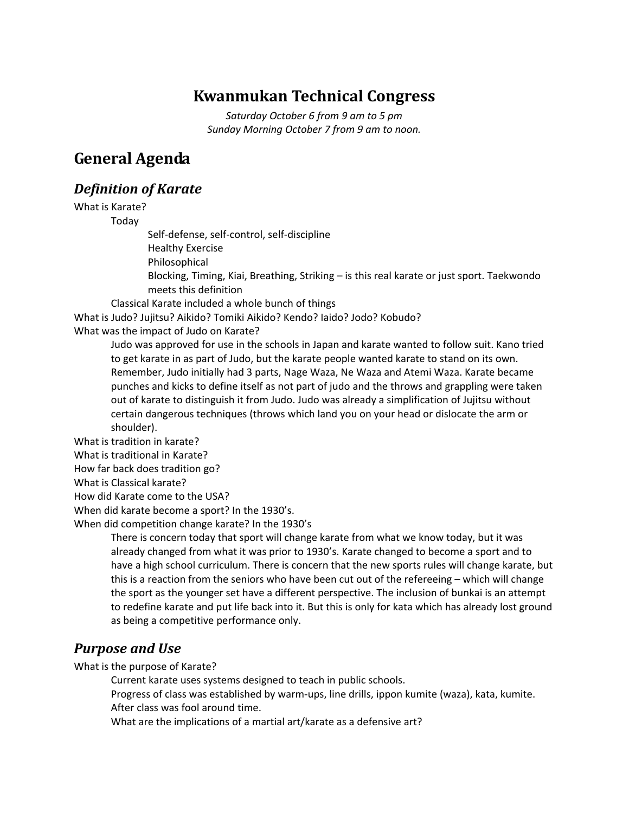# **Kwanmukan Technical Congress**

*Saturday October 6 from 9 am to 5 pm Sunday Morning October 7 from 9 am to noon.*

# **General Agenda**

## *Definition of Karate*

What is Karate?

Today

Self‐defense, self‐control, self‐discipline

Healthy Exercise

Philosophical

Blocking, Timing, Kiai, Breathing, Striking – is this real karate or just sport. Taekwondo meets this definition

Classical Karate included a whole bunch of things

What is Judo? Jujitsu? Aikido? Tomiki Aikido? Kendo? Iaido? Jodo? Kobudo? What was the impact of Judo on Karate?

> Judo was approved for use in the schools in Japan and karate wanted to follow suit. Kano tried to get karate in as part of Judo, but the karate people wanted karate to stand on its own. Remember, Judo initially had 3 parts, Nage Waza, Ne Waza and Atemi Waza. Karate became punches and kicks to define itself as not part of judo and the throws and grappling were taken out of karate to distinguish it from Judo. Judo was already a simplification of Jujitsu without certain dangerous techniques (throws which land you on your head or dislocate the arm or shoulder).

What is tradition in karate?

What is traditional in Karate?

How far back does tradition go?

What is Classical karate?

How did Karate come to the USA?

When did karate become a sport? In the 1930's.

When did competition change karate? In the 1930's

There is concern today that sport will change karate from what we know today, but it was already changed from what it was prior to 1930's. Karate changed to become a sport and to have a high school curriculum. There is concern that the new sports rules will change karate, but this is a reaction from the seniors who have been cut out of the refereeing – which will change the sport as the younger set have a different perspective. The inclusion of bunkai is an attempt to redefine karate and put life back into it. But this is only for kata which has already lost ground as being a competitive performance only.

# *Purpose and Use*

What is the purpose of Karate?

Current karate uses systems designed to teach in public schools.

Progress of class was established by warm‐ups, line drills, ippon kumite (waza), kata, kumite. After class was fool around time.

What are the implications of a martial art/karate as a defensive art?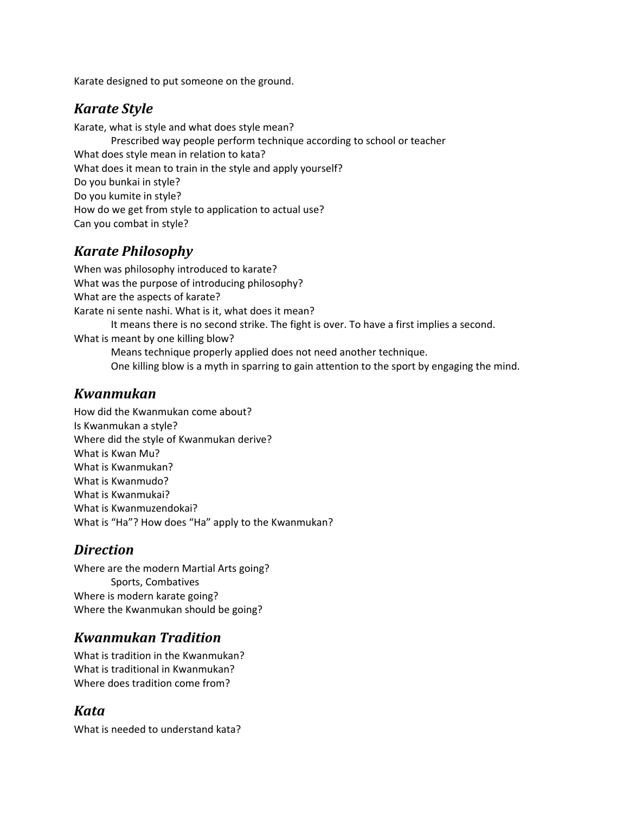Karate designed to put someone on the ground.

### *Karate Style*

Karate, what is style and what does style mean?

Prescribed way people perform technique according to school or teacher What does style mean in relation to kata? What does it mean to train in the style and apply yourself? Do you bunkai in style? Do you kumite in style? How do we get from style to application to actual use? Can you combat in style?

# *Karate Philosophy*

When was philosophy introduced to karate? What was the purpose of introducing philosophy? What are the aspects of karate? Karate ni sente nashi. What is it, what does it mean? It means there is no second strike. The fight is over. To have a first implies a second. What is meant by one killing blow? Means technique properly applied does not need another technique.

One killing blow is a myth in sparring to gain attention to the sport by engaging the mind.

## *Kwanmukan*

How did the Kwanmukan come about? Is Kwanmukan a style? Where did the style of Kwanmukan derive? What is Kwan Mu? What is Kwanmukan? What is Kwanmudo? What is Kwanmukai? What is Kwanmuzendokai? What is "Ha"? How does "Ha" apply to the Kwanmukan?

# *Direction*

Where are the modern Martial Arts going? Sports, Combatives Where is modern karate going? Where the Kwanmukan should be going?

# *Kwanmukan Tradition*

What is tradition in the Kwanmukan? What is traditional in Kwanmukan? Where does tradition come from?

# *Kata*

What is needed to understand kata?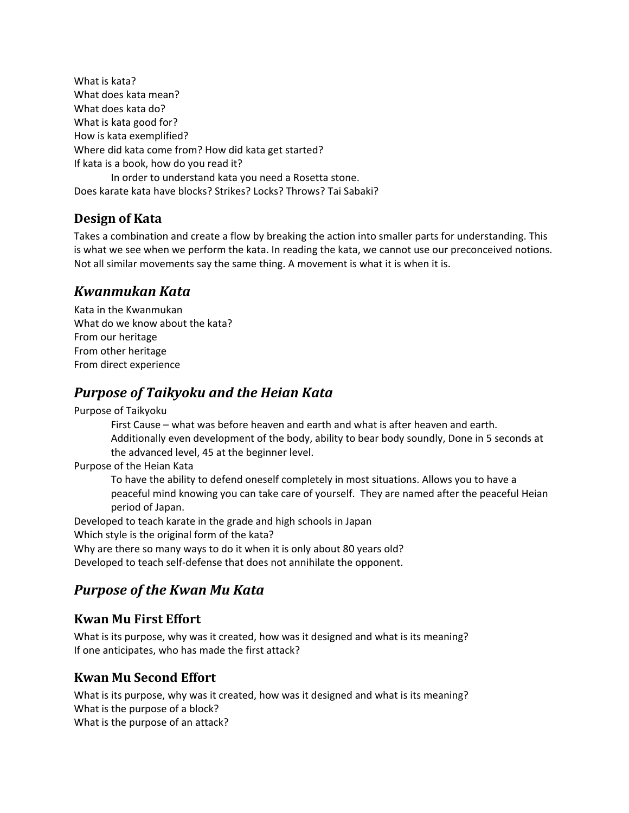What is kata? What does kata mean? What does kata do? What is kata good for? How is kata exemplified? Where did kata come from? How did kata get started? If kata is a book, how do you read it? In order to understand kata you need a Rosetta stone.

Does karate kata have blocks? Strikes? Locks? Throws? Tai Sabaki?

## **Design of Kata**

Takes a combination and create a flow by breaking the action into smaller parts for understanding. This is what we see when we perform the kata. In reading the kata, we cannot use our preconceived notions. Not all similar movements say the same thing. A movement is what it is when it is.

# *Kwanmukan Kata*

Kata in the Kwanmukan What do we know about the kata? From our heritage From other heritage From direct experience

# *Purpose of Taikyoku and the Heian Kata*

Purpose of Taikyoku

First Cause – what was before heaven and earth and what is after heaven and earth. Additionally even development of the body, ability to bear body soundly, Done in 5 seconds at the advanced level, 45 at the beginner level.

Purpose of the Heian Kata

To have the ability to defend oneself completely in most situations. Allows you to have a peaceful mind knowing you can take care of yourself. They are named after the peaceful Heian period of Japan.

Developed to teach karate in the grade and high schools in Japan Which style is the original form of the kata? Why are there so many ways to do it when it is only about 80 years old? Developed to teach self‐defense that does not annihilate the opponent.

# *Purpose of the Kwan Mu Kata*

### **Kwan Mu First Effort**

What is its purpose, why was it created, how was it designed and what is its meaning? If one anticipates, who has made the first attack?

### **Kwan Mu Second Effort**

What is its purpose, why was it created, how was it designed and what is its meaning? What is the purpose of a block? What is the purpose of an attack?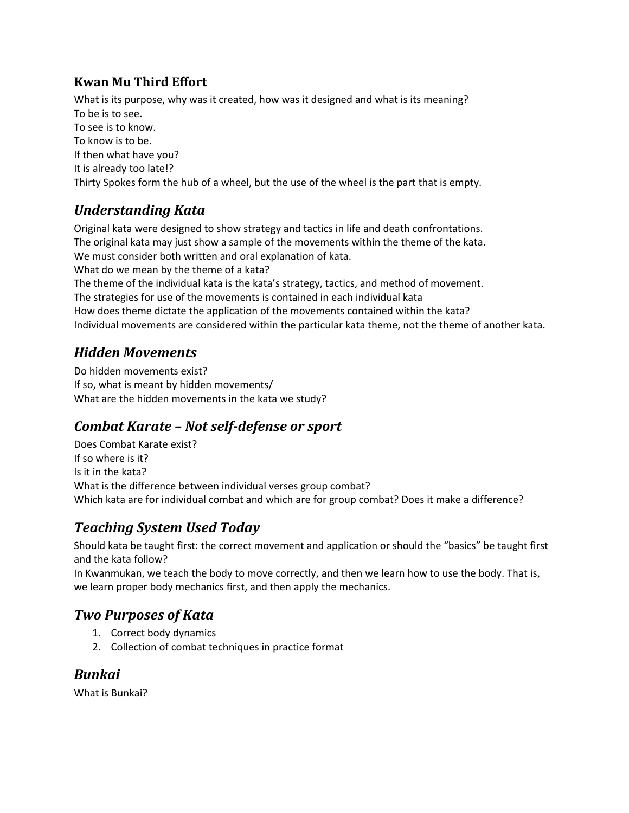## **Kwan Mu Third Effort**

What is its purpose, why was it created, how was it designed and what is its meaning? To be is to see. To see is to know. To know is to be. If then what have you? It is already too late!? Thirty Spokes form the hub of a wheel, but the use of the wheel is the part that is empty.

# *Understanding Kata*

Original kata were designed to show strategy and tactics in life and death confrontations. The original kata may just show a sample of the movements within the theme of the kata. We must consider both written and oral explanation of kata. What do we mean by the theme of a kata? The theme of the individual kata is the kata's strategy, tactics, and method of movement. The strategies for use of the movements is contained in each individual kata How does theme dictate the application of the movements contained within the kata? Individual movements are considered within the particular kata theme, not the theme of another kata.

# *Hidden Movements*

Do hidden movements exist? If so, what is meant by hidden movements/ What are the hidden movements in the kata we study?

# *Combat Karate – Not self‐defense or sport*

Does Combat Karate exist? If so where is it? Is it in the kata? What is the difference between individual verses group combat? Which kata are for individual combat and which are for group combat? Does it make a difference?

# *Teaching System Used Today*

Should kata be taught first: the correct movement and application or should the "basics" be taught first and the kata follow?

In Kwanmukan, we teach the body to move correctly, and then we learn how to use the body. That is, we learn proper body mechanics first, and then apply the mechanics.

# *Two Purposes of Kata*

- 1. Correct body dynamics
- 2. Collection of combat techniques in practice format

# *Bunkai*

What is Bunkai?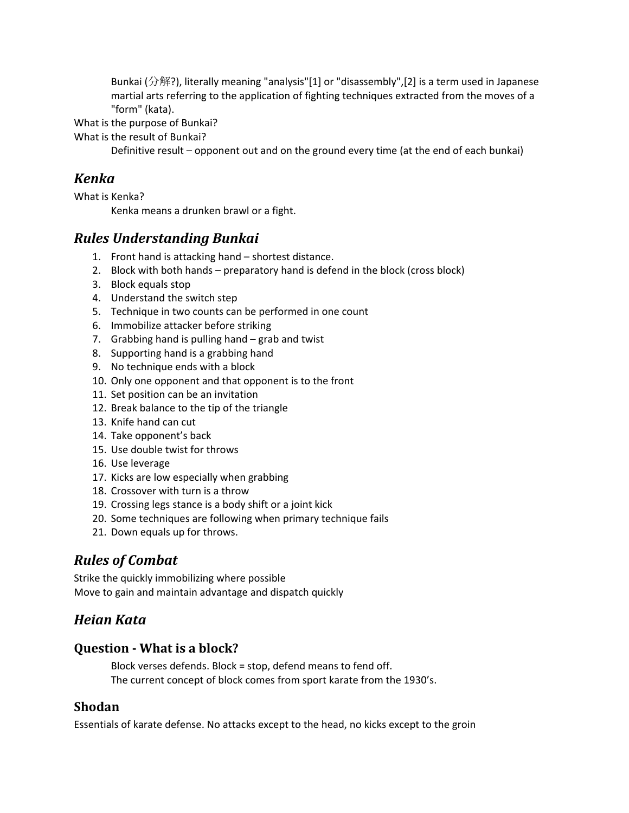Bunkai (分解?), literally meaning "analysis"[1] or "disassembly",[2] is a term used in Japanese martial arts referring to the application of fighting techniques extracted from the moves of a "form" (kata).

What is the purpose of Bunkai?

What is the result of Bunkai?

Definitive result – opponent out and on the ground every time (at the end of each bunkai)

### *Kenka*

What is Kenka?

Kenka means a drunken brawl or a fight.

### *Rules Understanding Bunkai*

- 1. Front hand is attacking hand shortest distance.
- 2. Block with both hands preparatory hand is defend in the block (cross block)
- 3. Block equals stop
- 4. Understand the switch step
- 5. Technique in two counts can be performed in one count
- 6. Immobilize attacker before striking
- 7. Grabbing hand is pulling hand grab and twist
- 8. Supporting hand is a grabbing hand
- 9. No technique ends with a block
- 10. Only one opponent and that opponent is to the front
- 11. Set position can be an invitation
- 12. Break balance to the tip of the triangle
- 13. Knife hand can cut
- 14. Take opponent's back
- 15. Use double twist for throws
- 16. Use leverage
- 17. Kicks are low especially when grabbing
- 18. Crossover with turn is a throw
- 19. Crossing legs stance is a body shift or a joint kick
- 20. Some techniques are following when primary technique fails
- 21. Down equals up for throws.

# *Rules of Combat*

Strike the quickly immobilizing where possible Move to gain and maintain advantage and dispatch quickly

### *Heian Kata*

### **Question ‐ What is a block?**

Block verses defends. Block = stop, defend means to fend off. The current concept of block comes from sport karate from the 1930's.

### **Shodan**

Essentials of karate defense. No attacks except to the head, no kicks except to the groin